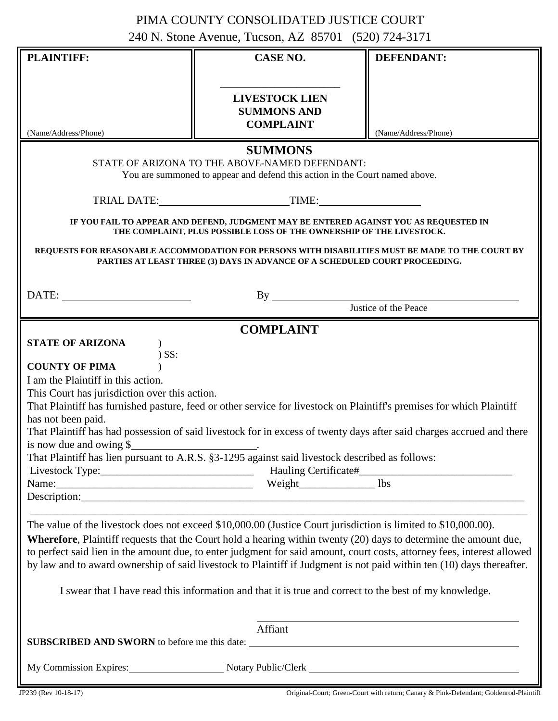## PIMA COUNTY CONSOLIDATED JUSTICE COURT 240 N. Stone Avenue, Tucson, AZ 85701 (520) 724-3171

|                                                                                                                                                                                                                                                       | <b>CASE NO.</b>                                                                                                                                                                                                                              | <b>DEFENDANT:</b>                                                                                                                                                                                                                                                                                                                                                            |
|-------------------------------------------------------------------------------------------------------------------------------------------------------------------------------------------------------------------------------------------------------|----------------------------------------------------------------------------------------------------------------------------------------------------------------------------------------------------------------------------------------------|------------------------------------------------------------------------------------------------------------------------------------------------------------------------------------------------------------------------------------------------------------------------------------------------------------------------------------------------------------------------------|
| (Name/Address/Phone)                                                                                                                                                                                                                                  | <b>LIVESTOCK LIEN</b><br><b>SUMMONS AND</b><br><b>COMPLAINT</b>                                                                                                                                                                              | (Name/Address/Phone)                                                                                                                                                                                                                                                                                                                                                         |
|                                                                                                                                                                                                                                                       | <b>SUMMONS</b><br>STATE OF ARIZONA TO THE ABOVE-NAMED DEFENDANT:<br>You are summoned to appear and defend this action in the Court named above.                                                                                              |                                                                                                                                                                                                                                                                                                                                                                              |
|                                                                                                                                                                                                                                                       |                                                                                                                                                                                                                                              |                                                                                                                                                                                                                                                                                                                                                                              |
|                                                                                                                                                                                                                                                       | IF YOU FAIL TO APPEAR AND DEFEND, JUDGMENT MAY BE ENTERED AGAINST YOU AS REQUESTED IN<br>THE COMPLAINT, PLUS POSSIBLE LOSS OF THE OWNERSHIP OF THE LIVESTOCK.<br>PARTIES AT LEAST THREE (3) DAYS IN ADVANCE OF A SCHEDULED COURT PROCEEDING. | REQUESTS FOR REASONABLE ACCOMMODATION FOR PERSONS WITH DISABILITIES MUST BE MADE TO THE COURT BY                                                                                                                                                                                                                                                                             |
|                                                                                                                                                                                                                                                       |                                                                                                                                                                                                                                              |                                                                                                                                                                                                                                                                                                                                                                              |
|                                                                                                                                                                                                                                                       |                                                                                                                                                                                                                                              | Justice of the Peace                                                                                                                                                                                                                                                                                                                                                         |
| <b>COUNTY OF PIMA</b><br>I am the Plaintiff in this action.                                                                                                                                                                                           |                                                                                                                                                                                                                                              |                                                                                                                                                                                                                                                                                                                                                                              |
| This Court has jurisdiction over this action.<br>has not been paid.<br>is now due and owing $\frac{1}{2}$<br>That Plaintiff has lien pursuant to A.R.S. §3-1295 against said livestock described as follows:<br>Name: 1bs Weight Network Network 2014 |                                                                                                                                                                                                                                              | That Plaintiff has furnished pasture, feed or other service for livestock on Plaintiff's premises for which Plaintiff<br>That Plaintiff has had possession of said livestock for in excess of twenty days after said charges accrued and there                                                                                                                               |
| The value of the livestock does not exceed \$10,000.00 (Justice Court jurisdiction is limited to \$10,000.00).                                                                                                                                        | I swear that I have read this information and that it is true and correct to the best of my knowledge.<br>Affiant                                                                                                                            | <b>Wherefore</b> , Plaintiff requests that the Court hold a hearing within twenty (20) days to determine the amount due,<br>to perfect said lien in the amount due, to enter judgment for said amount, court costs, attorney fees, interest allowed<br>by law and to award ownership of said livestock to Plaintiff if Judgment is not paid within ten (10) days thereafter. |